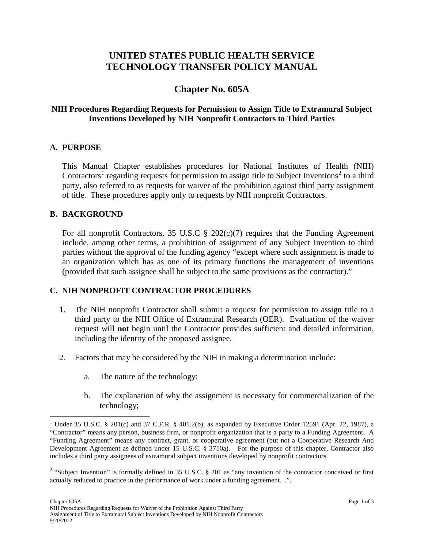# **UNITED STATES PUBLIC HEALTH SERVICE TECHNOLOGY TRANSFER POLICY MANUAL**

# **Chapter No. 605A**

# **NIH Procedures Regarding Requests for Permission to Assign Title to Extramural Subject Inventions Developed by NIH Nonprofit Contractors to Third Parties**

### **A. PURPOSE**

This Manual Chapter establishes procedures for National Institutes of Health (NIH) Contractors<sup>[1](#page-0-0)</sup> regarding requests for permission to assign title to Subject Inventions<sup>[2](#page-0-1)</sup> to a third party, also referred to as requests for waiver of the prohibition against third party assignment of title. These procedures apply only to requests by NIH nonprofit Contractors.

#### **B. BACKGROUND**

For all nonprofit Contractors, 35 U.S.C  $\S$  202(c)(7) requires that the Funding Agreement include, among other terms, a prohibition of assignment of any Subject Invention to third parties without the approval of the funding agency "except where such assignment is made to an organization which has as one of its primary functions the management of inventions (provided that such assignee shall be subject to the same provisions as the contractor)."

### **C. NIH NONPROFIT CONTRACTOR PROCEDURES**

- 1. The NIH nonprofit Contractor shall submit a request for permission to assign title to a third party to the NIH Office of Extramural Research (OER). Evaluation of the waiver request will **not** begin until the Contractor provides sufficient and detailed information, including the identity of the proposed assignee.
- 2. Factors that may be considered by the NIH in making a determination include:
	- a. The nature of the technology;
	- b. The explanation of why the assignment is necessary for commercialization of the technology;

<span id="page-0-0"></span><sup>&</sup>lt;sup>1</sup> Under 35 U.S.C. § 201(c) and 37 C.F.R. § 401.2(b), as expanded by Executive Order 12591 (Apr. 22, 1987), a "Contractor" means any person, business firm, or nonprofit organization that is a party to a Funding Agreement. A "Funding Agreement" means any contract, grant, or cooperative agreement (but not a Cooperative Research And Development Agreement as defined under 15 U.S.C. § 3710a). For the purpose of this chapter, Contractor also includes a third party assignees of extramural subject inventions developed by nonprofit contractors.

<span id="page-0-1"></span><sup>&</sup>lt;sup>2</sup> "Subject Invention" is formally defined in 35 U.S.C. § 201 as "any invention of the contractor conceived or first actually reduced to practice in the performance of work under a funding agreement…".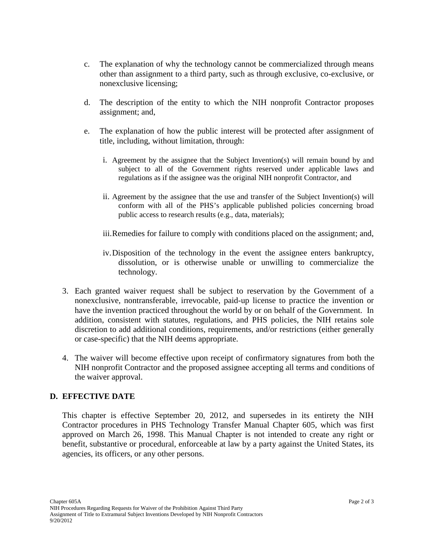- c. The explanation of why the technology cannot be commercialized through means other than assignment to a third party, such as through exclusive, co-exclusive, or nonexclusive licensing;
- d. The description of the entity to which the NIH nonprofit Contractor proposes assignment; and,
- e. The explanation of how the public interest will be protected after assignment of title, including, without limitation, through:
	- i. Agreement by the assignee that the Subject Invention(s) will remain bound by and subject to all of the Government rights reserved under applicable laws and regulations as if the assignee was the original NIH nonprofit Contractor, and
	- ii. Agreement by the assignee that the use and transfer of the Subject Invention(s) will conform with all of the PHS's applicable published policies concerning broad public access to research results (e.g., data, materials);
	- iii.Remedies for failure to comply with conditions placed on the assignment; and,
	- iv.Disposition of the technology in the event the assignee enters bankruptcy, dissolution, or is otherwise unable or unwilling to commercialize the technology.
- 3. Each granted waiver request shall be subject to reservation by the Government of a nonexclusive, nontransferable, irrevocable, paid-up license to practice the invention or have the invention practiced throughout the world by or on behalf of the Government. In addition, consistent with statutes, regulations, and PHS policies, the NIH retains sole discretion to add additional conditions, requirements, and/or restrictions (either generally or case-specific) that the NIH deems appropriate.
- 4. The waiver will become effective upon receipt of confirmatory signatures from both the NIH nonprofit Contractor and the proposed assignee accepting all terms and conditions of the waiver approval.

# **D. EFFECTIVE DATE**

This chapter is effective September 20, 2012, and supersedes in its entirety the NIH Contractor procedures in PHS Technology Transfer Manual Chapter 605, which was first approved on March 26, 1998. This Manual Chapter is not intended to create any right or benefit, substantive or procedural, enforceable at law by a party against the United States, its agencies, its officers, or any other persons.